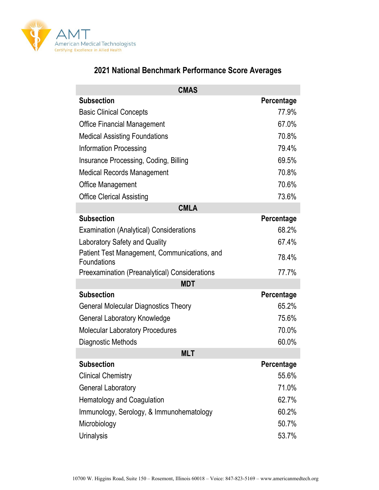

| <b>CMAS</b>                                                 |            |
|-------------------------------------------------------------|------------|
| <b>Subsection</b>                                           | Percentage |
| <b>Basic Clinical Concepts</b>                              | 77.9%      |
| <b>Office Financial Management</b>                          | 67.0%      |
| <b>Medical Assisting Foundations</b>                        | 70.8%      |
| <b>Information Processing</b>                               | 79.4%      |
| Insurance Processing, Coding, Billing                       | 69.5%      |
| <b>Medical Records Management</b>                           | 70.8%      |
| Office Management                                           | 70.6%      |
| <b>Office Clerical Assisting</b>                            | 73.6%      |
| <b>CMLA</b>                                                 |            |
| <b>Subsection</b>                                           | Percentage |
| <b>Examination (Analytical) Considerations</b>              | 68.2%      |
| <b>Laboratory Safety and Quality</b>                        | 67.4%      |
| Patient Test Management, Communications, and<br>Foundations | 78.4%      |
| <b>Preexamination (Preanalytical) Considerations</b>        | 77.7%      |
| <b>MDT</b>                                                  |            |
| <b>Subsection</b>                                           | Percentage |
| <b>General Molecular Diagnostics Theory</b>                 | 65.2%      |
| <b>General Laboratory Knowledge</b>                         | 75.6%      |
| <b>Molecular Laboratory Procedures</b>                      | 70.0%      |
| Diagnostic Methods                                          | 60.0%      |
| <b>MLT</b>                                                  |            |
| <b>Subsection</b>                                           | Percentage |
| <b>Clinical Chemistry</b>                                   | 55.6%      |
| <b>General Laboratory</b>                                   | 71.0%      |
| Hematology and Coagulation                                  | 62.7%      |
| Immunology, Serology, & Immunohematology                    | 60.2%      |
| Microbiology                                                | 50.7%      |
| <b>Urinalysis</b>                                           | 53.7%      |

## **2021 National Benchmark Performance Score Averages**